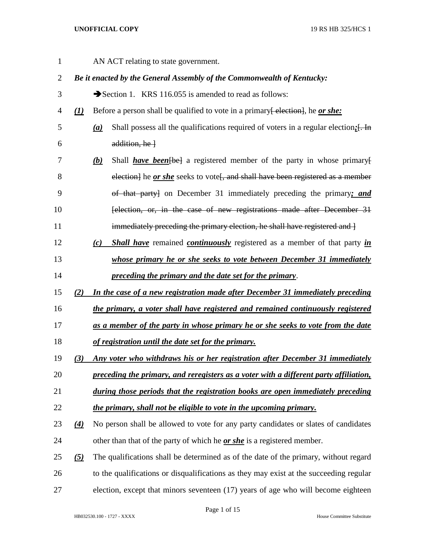| $\mathbf{1}$   |                   |                   | AN ACT relating to state government.                                                          |
|----------------|-------------------|-------------------|-----------------------------------------------------------------------------------------------|
| $\overline{2}$ |                   |                   | Be it enacted by the General Assembly of the Commonwealth of Kentucky:                        |
| 3              |                   |                   | Section 1. KRS 116.055 is amended to read as follows:                                         |
| 4              | $\mathcal{L}$     |                   | Before a person shall be qualified to vote in a primary election, he or she:                  |
| 5              |                   | $\underline{(a)}$ | Shall possess all the qualifications required of voters in a regular election; [. In          |
| 6              |                   |                   | $addition, he$ }                                                                              |
| 7              |                   | <u>(b)</u>        | Shall <i>have been</i> [be] a registered member of the party in whose primary [               |
| 8              |                   |                   | election] he or she seeks to vote <sup>[</sup> , and shall have been registered as a member   |
| 9              |                   |                   | of that party] on December 31 immediately preceding the primary; and                          |
| 10             |                   |                   | felection, or, in the case of new registrations made after December 31                        |
| 11             |                   |                   | immediately preceding the primary election, he shall have registered and l                    |
| 12             |                   | (c)               | <b>Shall have</b> remained <b><i>continuously</i></b> registered as a member of that party in |
| 13             |                   |                   | whose primary he or she seeks to vote between December 31 immediately                         |
| 14             |                   |                   | preceding the primary and the date set for the primary.                                       |
| 15             | (2)               |                   | In the case of a new registration made after December 31 immediately preceding                |
| 16             |                   |                   | the primary, a voter shall have registered and remained continuously registered               |
| 17             |                   |                   | as a member of the party in whose primary he or she seeks to vote from the date               |
| 18             |                   |                   | of registration until the date set for the primary.                                           |
| 19             | (3)               |                   | Any voter who withdraws his or her registration after December 31 immediately                 |
| 20             |                   |                   | preceding the primary, and reregisters as a voter with a different party affiliation,         |
| 21             |                   |                   | during those periods that the registration books are open immediately preceding               |
| 22             |                   |                   | the primary, shall not be eligible to vote in the upcoming primary.                           |
| 23             | $\left( 4\right)$ |                   | No person shall be allowed to vote for any party candidates or slates of candidates           |
| 24             |                   |                   | other than that of the party of which he <u>or she</u> is a registered member.                |
| 25             | $\left( 5\right)$ |                   | The qualifications shall be determined as of the date of the primary, without regard          |
| 26             |                   |                   | to the qualifications or disqualifications as they may exist at the succeeding regular        |
| 27             |                   |                   | election, except that minors seventeen (17) years of age who will become eighteen             |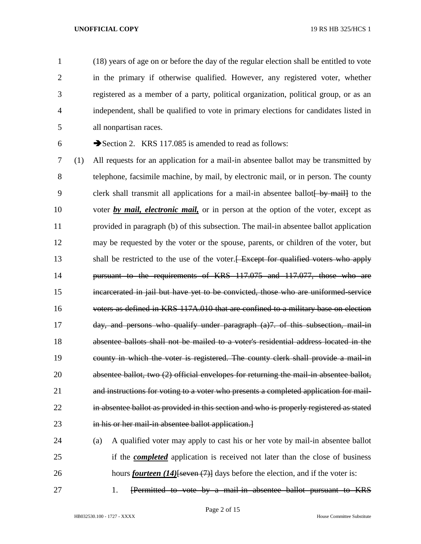(18) years of age on or before the day of the regular election shall be entitled to vote in the primary if otherwise qualified. However, any registered voter, whether registered as a member of a party, political organization, political group, or as an independent, shall be qualified to vote in primary elections for candidates listed in all nonpartisan races.

Section 2. KRS 117.085 is amended to read as follows:

 (1) All requests for an application for a mail-in absentee ballot may be transmitted by telephone, facsimile machine, by mail, by electronic mail, or in person. The county 9 clerk shall transmit all applications for a mail-in absentee ballot by mail to the voter *by mail, electronic mail,* or in person at the option of the voter, except as provided in paragraph (b) of this subsection. The mail-in absentee ballot application may be requested by the voter or the spouse, parents, or children of the voter, but 13 shall be restricted to the use of the voter. Except for qualified voters who apply pursuant to the requirements of KRS 117.075 and 117.077, those who are incarcerated in jail but have yet to be convicted, those who are uniformed-service 16 voters as defined in KRS 117A.010 that are confined to a military base on election day, and persons who qualify under paragraph (a)7. of this subsection, mail-in absentee ballots shall not be mailed to a voter's residential address located in the county in which the voter is registered. The county clerk shall provide a mail-in absentee ballot, two (2) official envelopes for returning the mail-in absentee ballot, and instructions for voting to a voter who presents a completed application for mail- in absentee ballot as provided in this section and who is properly registered as stated 23 in his or her mail-in absentee ballot application.

 (a) A qualified voter may apply to cast his or her vote by mail-in absentee ballot if the *completed* application is received not later than the close of business 26 hours *fourteen* (14)<del>[seven (7)]</del> days before the election, and if the voter is:

27 1. [Permitted to vote by a mail-in absentee ballot pursuant to KRS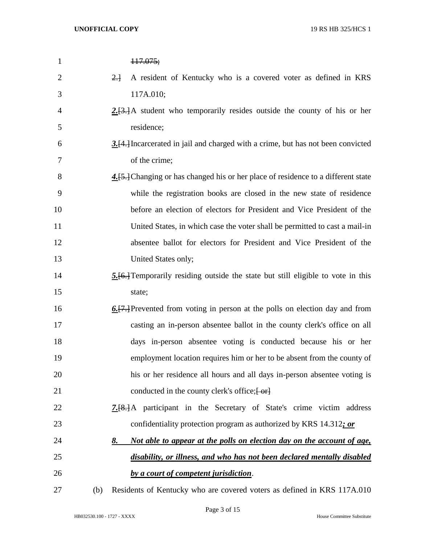| $\mathbf{1}$   |     | 117.075;                                                                          |
|----------------|-----|-----------------------------------------------------------------------------------|
| $\overline{2}$ |     | $2 +$<br>A resident of Kentucky who is a covered voter as defined in KRS          |
| 3              |     | 117A.010;                                                                         |
| $\overline{4}$ |     | $2.13.1A$ student who temporarily resides outside the county of his or her        |
| 5              |     | residence;                                                                        |
| 6              |     | 3. [4.] Incarcerated in jail and charged with a crime, but has not been convicted |
| 7              |     | of the crime;                                                                     |
| 8              |     | 4.[5.] Changing or has changed his or her place of residence to a different state |
| 9              |     | while the registration books are closed in the new state of residence             |
| 10             |     | before an election of electors for President and Vice President of the            |
| 11             |     | United States, in which case the voter shall be permitted to cast a mail-in       |
| 12             |     | absentee ballot for electors for President and Vice President of the              |
| 13             |     | United States only;                                                               |
| 14             |     | 5.[6.] Temporarily residing outside the state but still eligible to vote in this  |
| 15             |     | state;                                                                            |
| 16             |     | 6. [7.] Prevented from voting in person at the polls on election day and from     |
| 17             |     | casting an in-person absentee ballot in the county clerk's office on all          |
| 18             |     | days in-person absentee voting is conducted because his or her                    |
| 19             |     | employment location requires him or her to be absent from the county of           |
| 20             |     | his or her residence all hours and all days in-person absentee voting is          |
| 21             |     | conducted in the county clerk's office; [-or]                                     |
| 22             |     | <b>7.</b> [8.] A participant in the Secretary of State's crime victim address     |
| 23             |     | confidentiality protection program as authorized by KRS 14.312; or                |
| 24             |     | Not able to appear at the polls on election day on the account of age,<br>8.      |
| 25             |     | disability, or illness, and who has not been declared mentally disabled           |
| 26             |     | by a court of competent jurisdiction.                                             |
| 27             | (b) | Residents of Kentucky who are covered voters as defined in KRS 117A.010           |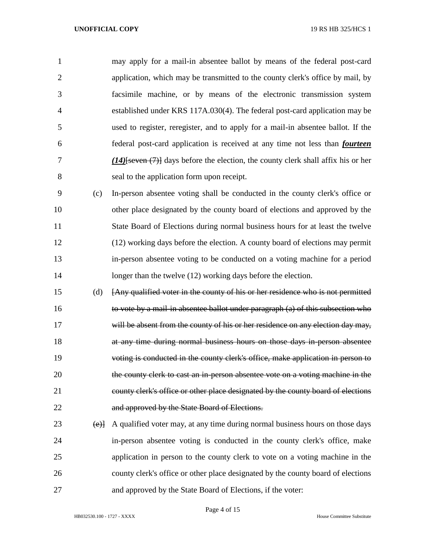may apply for a mail-in absentee ballot by means of the federal post-card application, which may be transmitted to the county clerk's office by mail, by facsimile machine, or by means of the electronic transmission system established under KRS 117A.030(4). The federal post-card application may be used to register, reregister, and to apply for a mail-in absentee ballot. If the federal post-card application is received at any time not less than *fourteen (14)*[seven (7)] days before the election, the county clerk shall affix his or her seal to the application form upon receipt.

 (c) In-person absentee voting shall be conducted in the county clerk's office or other place designated by the county board of elections and approved by the State Board of Elections during normal business hours for at least the twelve (12) working days before the election. A county board of elections may permit in-person absentee voting to be conducted on a voting machine for a period 14 longer than the twelve (12) working days before the election.

 (d) [Any qualified voter in the county of his or her residence who is not permitted to vote by a mail-in absentee ballot under paragraph (a) of this subsection who 17 will be absent from the county of his or her residence on any election day may, at any time during normal business hours on those days in-person absentee voting is conducted in the county clerk's office, make application in person to 20 the county clerk to cast an in-person absentee vote on a voting machine in the county clerk's office or other place designated by the county board of elections and approved by the State Board of Elections.

 (e)] A qualified voter may, at any time during normal business hours on those days in-person absentee voting is conducted in the county clerk's office, make application in person to the county clerk to vote on a voting machine in the county clerk's office or other place designated by the county board of elections and approved by the State Board of Elections, if the voter: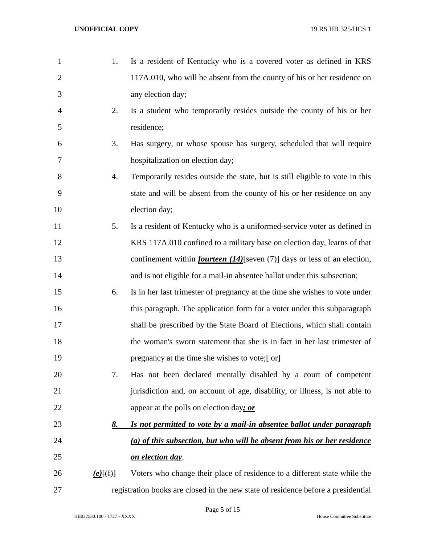| $\mathbf{1}$   | 1.          | Is a resident of Kentucky who is a covered voter as defined in KRS                    |
|----------------|-------------|---------------------------------------------------------------------------------------|
| $\mathbf{2}$   |             | 117A.010, who will be absent from the county of his or her residence on               |
| 3              |             | any election day;                                                                     |
| $\overline{4}$ | 2.          | Is a student who temporarily resides outside the county of his or her                 |
| 5              |             | residence;                                                                            |
| 6              | 3.          | Has surgery, or whose spouse has surgery, scheduled that will require                 |
| 7              |             | hospitalization on election day;                                                      |
| 8              | 4.          | Temporarily resides outside the state, but is still eligible to vote in this          |
| 9              |             | state and will be absent from the county of his or her residence on any               |
| 10             |             | election day;                                                                         |
| 11             | 5.          | Is a resident of Kentucky who is a uniformed-service voter as defined in              |
| 12             |             | KRS 117A.010 confined to a military base on election day, learns of that              |
| 13             |             | confinement within <i>fourteen</i> $(14)$ [seven $(7)$ ] days or less of an election, |
| 14             |             | and is not eligible for a mail-in absentee ballot under this subsection;              |
| 15             | 6.          | Is in her last trimester of pregnancy at the time she wishes to vote under            |
| 16             |             | this paragraph. The application form for a voter under this subparagraph              |
| 17             |             | shall be prescribed by the State Board of Elections, which shall contain              |
| 18             |             | the woman's sworn statement that she is in fact in her last trimester of              |
| 19             |             | pregnancy at the time she wishes to vote; [ or]                                       |
| 20             | 7.          | Has not been declared mentally disabled by a court of competent                       |
| 21             |             | jurisdiction and, on account of age, disability, or illness, is not able to           |
| 22             |             | appear at the polls on election day; or                                               |
| 23             | 8.          | Is not permitted to vote by a mail-in absentee ballot under paragraph                 |
| 24             |             | (a) of this subsection, but who will be absent from his or her residence              |
| 25             |             | on election day.                                                                      |
| 26             | $(e)$ $(f)$ | Voters who change their place of residence to a different state while the             |
| 27             |             | registration books are closed in the new state of residence before a presidential     |

Page 5 of 15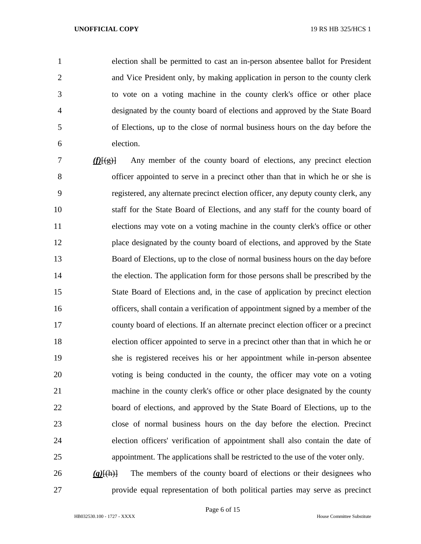election shall be permitted to cast an in-person absentee ballot for President and Vice President only, by making application in person to the county clerk to vote on a voting machine in the county clerk's office or other place designated by the county board of elections and approved by the State Board of Elections, up to the close of normal business hours on the day before the election.

 *(f)*[(g)] Any member of the county board of elections, any precinct election officer appointed to serve in a precinct other than that in which he or she is registered, any alternate precinct election officer, any deputy county clerk, any staff for the State Board of Elections, and any staff for the county board of elections may vote on a voting machine in the county clerk's office or other place designated by the county board of elections, and approved by the State Board of Elections, up to the close of normal business hours on the day before the election. The application form for those persons shall be prescribed by the State Board of Elections and, in the case of application by precinct election officers, shall contain a verification of appointment signed by a member of the county board of elections. If an alternate precinct election officer or a precinct election officer appointed to serve in a precinct other than that in which he or she is registered receives his or her appointment while in-person absentee voting is being conducted in the county, the officer may vote on a voting machine in the county clerk's office or other place designated by the county board of elections, and approved by the State Board of Elections, up to the close of normal business hours on the day before the election. Precinct election officers' verification of appointment shall also contain the date of appointment. The applications shall be restricted to the use of the voter only. *(g)*[(h)] The members of the county board of elections or their designees who

provide equal representation of both political parties may serve as precinct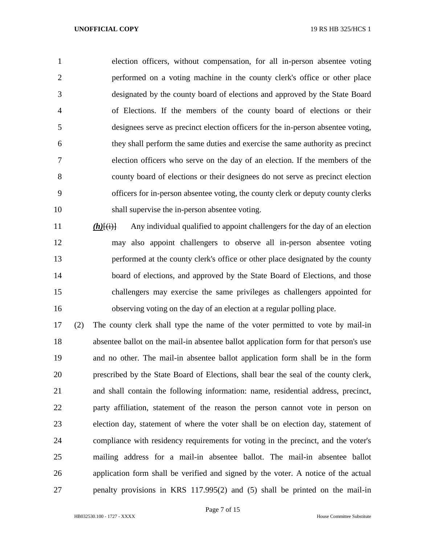election officers, without compensation, for all in-person absentee voting performed on a voting machine in the county clerk's office or other place designated by the county board of elections and approved by the State Board of Elections. If the members of the county board of elections or their designees serve as precinct election officers for the in-person absentee voting, they shall perform the same duties and exercise the same authority as precinct election officers who serve on the day of an election. If the members of the county board of elections or their designees do not serve as precinct election officers for in-person absentee voting, the county clerk or deputy county clerks shall supervise the in-person absentee voting.

*(h)* $\{\text{(i)}\}$  Any individual qualified to appoint challengers for the day of an election may also appoint challengers to observe all in-person absentee voting performed at the county clerk's office or other place designated by the county 14 board of elections, and approved by the State Board of Elections, and those challengers may exercise the same privileges as challengers appointed for observing voting on the day of an election at a regular polling place.

 (2) The county clerk shall type the name of the voter permitted to vote by mail-in absentee ballot on the mail-in absentee ballot application form for that person's use and no other. The mail-in absentee ballot application form shall be in the form prescribed by the State Board of Elections, shall bear the seal of the county clerk, and shall contain the following information: name, residential address, precinct, party affiliation, statement of the reason the person cannot vote in person on election day, statement of where the voter shall be on election day, statement of compliance with residency requirements for voting in the precinct, and the voter's mailing address for a mail-in absentee ballot. The mail-in absentee ballot application form shall be verified and signed by the voter. A notice of the actual penalty provisions in KRS 117.995(2) and (5) shall be printed on the mail-in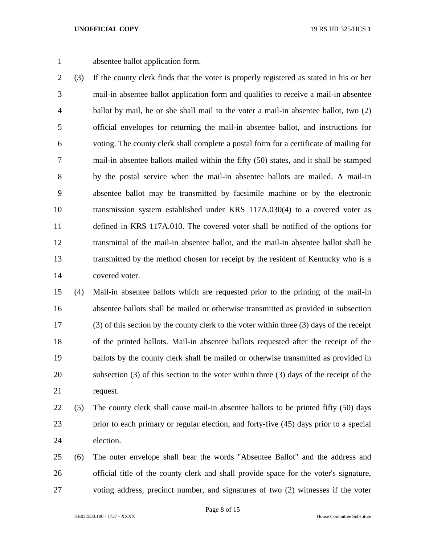absentee ballot application form.

 (3) If the county clerk finds that the voter is properly registered as stated in his or her mail-in absentee ballot application form and qualifies to receive a mail-in absentee ballot by mail, he or she shall mail to the voter a mail-in absentee ballot, two (2) official envelopes for returning the mail-in absentee ballot, and instructions for voting. The county clerk shall complete a postal form for a certificate of mailing for mail-in absentee ballots mailed within the fifty (50) states, and it shall be stamped by the postal service when the mail-in absentee ballots are mailed. A mail-in absentee ballot may be transmitted by facsimile machine or by the electronic transmission system established under KRS 117A.030(4) to a covered voter as defined in KRS 117A.010. The covered voter shall be notified of the options for transmittal of the mail-in absentee ballot, and the mail-in absentee ballot shall be transmitted by the method chosen for receipt by the resident of Kentucky who is a covered voter.

 (4) Mail-in absentee ballots which are requested prior to the printing of the mail-in absentee ballots shall be mailed or otherwise transmitted as provided in subsection (3) of this section by the county clerk to the voter within three (3) days of the receipt of the printed ballots. Mail-in absentee ballots requested after the receipt of the ballots by the county clerk shall be mailed or otherwise transmitted as provided in subsection (3) of this section to the voter within three (3) days of the receipt of the request.

- (5) The county clerk shall cause mail-in absentee ballots to be printed fifty (50) days prior to each primary or regular election, and forty-five (45) days prior to a special election.
- (6) The outer envelope shall bear the words "Absentee Ballot" and the address and official title of the county clerk and shall provide space for the voter's signature, voting address, precinct number, and signatures of two (2) witnesses if the voter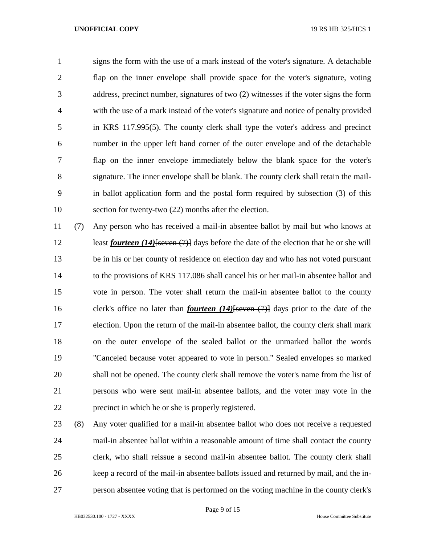signs the form with the use of a mark instead of the voter's signature. A detachable flap on the inner envelope shall provide space for the voter's signature, voting address, precinct number, signatures of two (2) witnesses if the voter signs the form with the use of a mark instead of the voter's signature and notice of penalty provided in KRS 117.995(5). The county clerk shall type the voter's address and precinct number in the upper left hand corner of the outer envelope and of the detachable flap on the inner envelope immediately below the blank space for the voter's signature. The inner envelope shall be blank. The county clerk shall retain the mail- in ballot application form and the postal form required by subsection (3) of this section for twenty-two (22) months after the election.

 (7) Any person who has received a mail-in absentee ballot by mail but who knows at least *fourteen (14)*[seven (7)] days before the date of the election that he or she will be in his or her county of residence on election day and who has not voted pursuant to the provisions of KRS 117.086 shall cancel his or her mail-in absentee ballot and vote in person. The voter shall return the mail-in absentee ballot to the county clerk's office no later than *fourteen (14)*[seven (7)] days prior to the date of the election. Upon the return of the mail-in absentee ballot, the county clerk shall mark on the outer envelope of the sealed ballot or the unmarked ballot the words "Canceled because voter appeared to vote in person." Sealed envelopes so marked shall not be opened. The county clerk shall remove the voter's name from the list of persons who were sent mail-in absentee ballots, and the voter may vote in the precinct in which he or she is properly registered.

 (8) Any voter qualified for a mail-in absentee ballot who does not receive a requested mail-in absentee ballot within a reasonable amount of time shall contact the county clerk, who shall reissue a second mail-in absentee ballot. The county clerk shall keep a record of the mail-in absentee ballots issued and returned by mail, and the in-person absentee voting that is performed on the voting machine in the county clerk's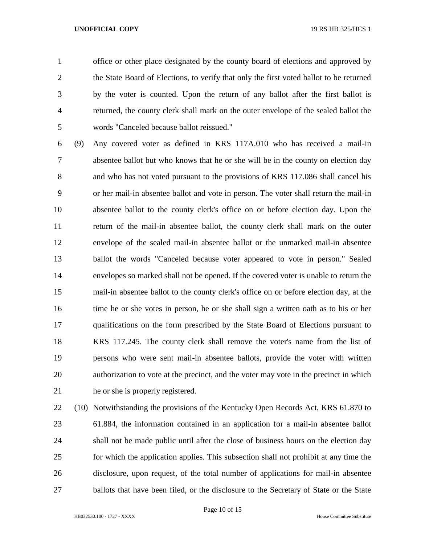office or other place designated by the county board of elections and approved by the State Board of Elections, to verify that only the first voted ballot to be returned by the voter is counted. Upon the return of any ballot after the first ballot is returned, the county clerk shall mark on the outer envelope of the sealed ballot the words "Canceled because ballot reissued."

 (9) Any covered voter as defined in KRS 117A.010 who has received a mail-in absentee ballot but who knows that he or she will be in the county on election day and who has not voted pursuant to the provisions of KRS 117.086 shall cancel his or her mail-in absentee ballot and vote in person. The voter shall return the mail-in absentee ballot to the county clerk's office on or before election day. Upon the return of the mail-in absentee ballot, the county clerk shall mark on the outer envelope of the sealed mail-in absentee ballot or the unmarked mail-in absentee ballot the words "Canceled because voter appeared to vote in person." Sealed envelopes so marked shall not be opened. If the covered voter is unable to return the mail-in absentee ballot to the county clerk's office on or before election day, at the 16 time he or she votes in person, he or she shall sign a written oath as to his or her qualifications on the form prescribed by the State Board of Elections pursuant to KRS 117.245. The county clerk shall remove the voter's name from the list of persons who were sent mail-in absentee ballots, provide the voter with written authorization to vote at the precinct, and the voter may vote in the precinct in which he or she is properly registered.

 (10) Notwithstanding the provisions of the Kentucky Open Records Act, KRS 61.870 to 61.884, the information contained in an application for a mail-in absentee ballot shall not be made public until after the close of business hours on the election day for which the application applies. This subsection shall not prohibit at any time the disclosure, upon request, of the total number of applications for mail-in absentee 27 ballots that have been filed, or the disclosure to the Secretary of State or the State

Page 10 of 15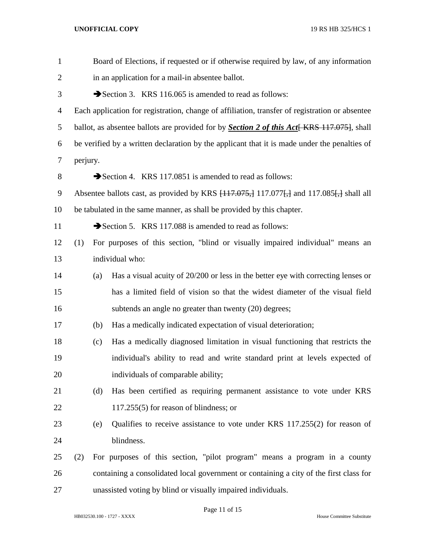| $\mathbf{1}$   | Board of Elections, if requested or if otherwise required by law, of any information      |                                                                                                |                                                                                                   |  |  |
|----------------|-------------------------------------------------------------------------------------------|------------------------------------------------------------------------------------------------|---------------------------------------------------------------------------------------------------|--|--|
| $\overline{2}$ |                                                                                           | in an application for a mail-in absentee ballot.                                               |                                                                                                   |  |  |
| 3              |                                                                                           | Section 3. KRS 116.065 is amended to read as follows:                                          |                                                                                                   |  |  |
| 4              |                                                                                           | Each application for registration, change of affiliation, transfer of registration or absentee |                                                                                                   |  |  |
| 5              |                                                                                           |                                                                                                | ballot, as absentee ballots are provided for by <b>Section 2 of this Act</b> [KRS 117.075], shall |  |  |
| 6              |                                                                                           | be verified by a written declaration by the applicant that it is made under the penalties of   |                                                                                                   |  |  |
| 7              |                                                                                           | perjury.                                                                                       |                                                                                                   |  |  |
| 8              |                                                                                           |                                                                                                | Section 4. KRS 117.0851 is amended to read as follows:                                            |  |  |
| 9              | Absentee ballots cast, as provided by KRS $\{117.075, 117.077\}$ , and 117.085. shall all |                                                                                                |                                                                                                   |  |  |
| 10             | be tabulated in the same manner, as shall be provided by this chapter.                    |                                                                                                |                                                                                                   |  |  |
| 11             |                                                                                           |                                                                                                | Section 5. KRS 117.088 is amended to read as follows:                                             |  |  |
| 12             | (1)                                                                                       |                                                                                                | For purposes of this section, "blind or visually impaired individual" means an                    |  |  |
| 13             |                                                                                           |                                                                                                | individual who:                                                                                   |  |  |
| 14             |                                                                                           | (a)                                                                                            | Has a visual acuity of 20/200 or less in the better eye with correcting lenses or                 |  |  |
| 15             |                                                                                           |                                                                                                | has a limited field of vision so that the widest diameter of the visual field                     |  |  |
| 16             |                                                                                           |                                                                                                | subtends an angle no greater than twenty (20) degrees;                                            |  |  |
| 17             |                                                                                           | (b)                                                                                            | Has a medically indicated expectation of visual deterioration;                                    |  |  |
| 18             |                                                                                           | (c)                                                                                            | Has a medically diagnosed limitation in visual functioning that restricts the                     |  |  |
| 19             |                                                                                           |                                                                                                | individual's ability to read and write standard print at levels expected of                       |  |  |
| 20             |                                                                                           |                                                                                                | individuals of comparable ability;                                                                |  |  |
| 21             |                                                                                           | (d)                                                                                            | Has been certified as requiring permanent assistance to vote under KRS                            |  |  |
| 22             |                                                                                           |                                                                                                | $117.255(5)$ for reason of blindness; or                                                          |  |  |
| 23             |                                                                                           | (e)                                                                                            | Qualifies to receive assistance to vote under KRS 117.255(2) for reason of                        |  |  |
| 24             |                                                                                           |                                                                                                | blindness.                                                                                        |  |  |
| 25             | (2)                                                                                       |                                                                                                | For purposes of this section, "pilot program" means a program in a county                         |  |  |
| 26             |                                                                                           |                                                                                                | containing a consolidated local government or containing a city of the first class for            |  |  |
| 27             | unassisted voting by blind or visually impaired individuals.                              |                                                                                                |                                                                                                   |  |  |

Page 11 of 15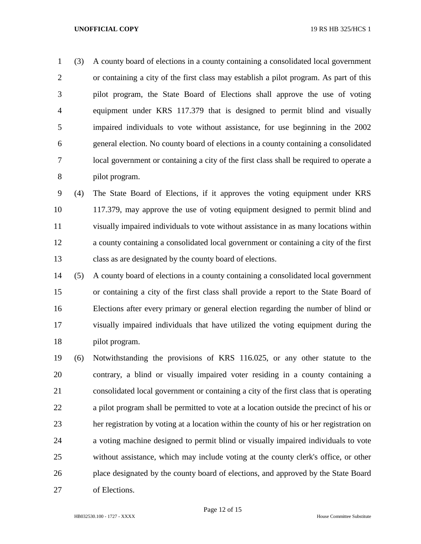(3) A county board of elections in a county containing a consolidated local government or containing a city of the first class may establish a pilot program. As part of this pilot program, the State Board of Elections shall approve the use of voting equipment under KRS 117.379 that is designed to permit blind and visually impaired individuals to vote without assistance, for use beginning in the 2002 general election. No county board of elections in a county containing a consolidated local government or containing a city of the first class shall be required to operate a pilot program.

 (4) The State Board of Elections, if it approves the voting equipment under KRS 117.379, may approve the use of voting equipment designed to permit blind and visually impaired individuals to vote without assistance in as many locations within a county containing a consolidated local government or containing a city of the first class as are designated by the county board of elections.

 (5) A county board of elections in a county containing a consolidated local government or containing a city of the first class shall provide a report to the State Board of Elections after every primary or general election regarding the number of blind or visually impaired individuals that have utilized the voting equipment during the pilot program.

 (6) Notwithstanding the provisions of KRS 116.025, or any other statute to the contrary, a blind or visually impaired voter residing in a county containing a consolidated local government or containing a city of the first class that is operating a pilot program shall be permitted to vote at a location outside the precinct of his or her registration by voting at a location within the county of his or her registration on a voting machine designed to permit blind or visually impaired individuals to vote without assistance, which may include voting at the county clerk's office, or other place designated by the county board of elections, and approved by the State Board of Elections.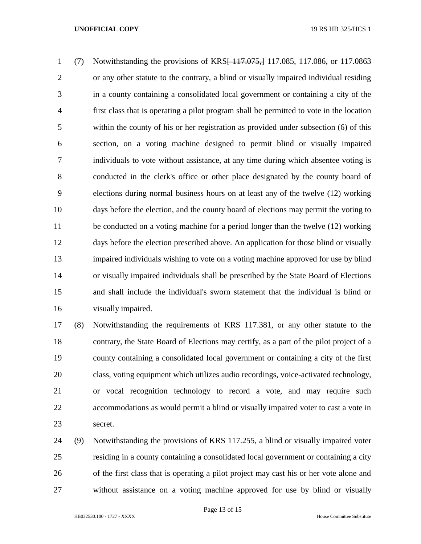(7) Notwithstanding the provisions of KRS[ 117.075,] 117.085, 117.086, or 117.0863 or any other statute to the contrary, a blind or visually impaired individual residing in a county containing a consolidated local government or containing a city of the first class that is operating a pilot program shall be permitted to vote in the location within the county of his or her registration as provided under subsection (6) of this section, on a voting machine designed to permit blind or visually impaired individuals to vote without assistance, at any time during which absentee voting is conducted in the clerk's office or other place designated by the county board of elections during normal business hours on at least any of the twelve (12) working days before the election, and the county board of elections may permit the voting to be conducted on a voting machine for a period longer than the twelve (12) working days before the election prescribed above. An application for those blind or visually impaired individuals wishing to vote on a voting machine approved for use by blind or visually impaired individuals shall be prescribed by the State Board of Elections and shall include the individual's sworn statement that the individual is blind or visually impaired.

 (8) Notwithstanding the requirements of KRS 117.381, or any other statute to the contrary, the State Board of Elections may certify, as a part of the pilot project of a county containing a consolidated local government or containing a city of the first class, voting equipment which utilizes audio recordings, voice-activated technology, or vocal recognition technology to record a vote, and may require such accommodations as would permit a blind or visually impaired voter to cast a vote in secret.

 (9) Notwithstanding the provisions of KRS 117.255, a blind or visually impaired voter residing in a county containing a consolidated local government or containing a city of the first class that is operating a pilot project may cast his or her vote alone and without assistance on a voting machine approved for use by blind or visually

Page 13 of 15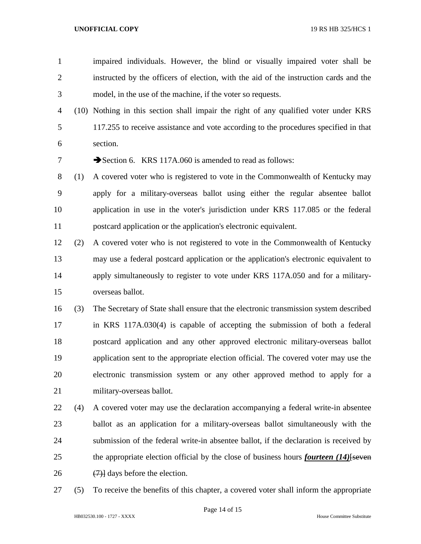- impaired individuals. However, the blind or visually impaired voter shall be instructed by the officers of election, with the aid of the instruction cards and the model, in the use of the machine, if the voter so requests.
- (10) Nothing in this section shall impair the right of any qualified voter under KRS 117.255 to receive assistance and vote according to the procedures specified in that section.

7 Section 6. KRS 117A,060 is amended to read as follows:

- (1) A covered voter who is registered to vote in the Commonwealth of Kentucky may apply for a military-overseas ballot using either the regular absentee ballot application in use in the voter's jurisdiction under KRS 117.085 or the federal postcard application or the application's electronic equivalent.
- (2) A covered voter who is not registered to vote in the Commonwealth of Kentucky may use a federal postcard application or the application's electronic equivalent to apply simultaneously to register to vote under KRS 117A.050 and for a military-overseas ballot.
- (3) The Secretary of State shall ensure that the electronic transmission system described in KRS 117A.030(4) is capable of accepting the submission of both a federal postcard application and any other approved electronic military-overseas ballot application sent to the appropriate election official. The covered voter may use the electronic transmission system or any other approved method to apply for a military-overseas ballot.
- (4) A covered voter may use the declaration accompanying a federal write-in absentee ballot as an application for a military-overseas ballot simultaneously with the submission of the federal write-in absentee ballot, if the declaration is received by the appropriate election official by the close of business hours *fourteen (14)*[seven 26  $(7)$  days before the election.
- (5) To receive the benefits of this chapter, a covered voter shall inform the appropriate